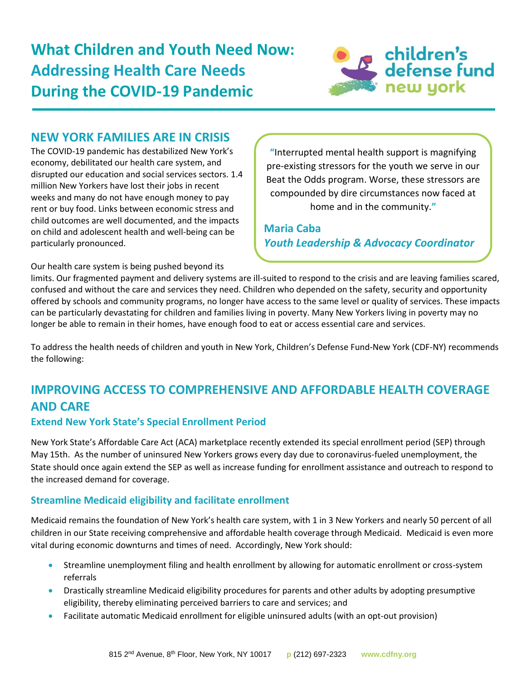

## **NEW YORK FAMILIES ARE IN CRISIS**

The COVID-19 pandemic has destabilized New York's economy, debilitated our health care system, and disrupted our education and social services sectors. 1.4 million New Yorkers have lost their jobs in recent weeks and many do not have enough money to pay rent or buy food. Links between economic stress and child outcomes are well documented, and the impacts on child and adolescent health and well-being can be particularly pronounced.

**"**Interrupted mental health support is magnifying pre-existing stressors for the youth we serve in our Beat the Odds program. Worse, these stressors are compounded by dire circumstances now faced at home and in the community.**"**

**Maria Caba** *Youth Leadership & Advocacy Coordinator* 

Our health care system is being pushed beyond its

limits. Our fragmented payment and delivery systems are ill-suited to respond to the crisis and are leaving families scared, confused and without the care and services they need. Children who depended on the safety, security and opportunity offered by schools and community programs, no longer have access to the same level or quality of services. These impacts can be particularly devastating for children and families living in poverty. Many New Yorkers living in poverty may no longer be able to remain in their homes, have enough food to eat or access essential care and services.

To address the health needs of children and youth in New York, Children's Defense Fund-New York (CDF-NY) recommends the following:

# **IMPROVING ACCESS TO COMPREHENSIVE AND AFFORDABLE HEALTH COVERAGE AND CARE**

### **Extend New York State's Special Enrollment Period**

New York State's Affordable Care Act (ACA) marketplace recently extended its special enrollment period (SEP) through May 15th. As the number of uninsured New Yorkers grows every day due to coronavirus-fueled unemployment, the State should once again extend the SEP as well as increase funding for enrollment assistance and outreach to respond to the increased demand for coverage.

### **Streamline Medicaid eligibility and facilitate enrollment**

Medicaid remains the foundation of New York's health care system, with 1 in 3 New Yorkers and nearly 50 percent of all children in our State receiving comprehensive and affordable health coverage through Medicaid. Medicaid is even more vital during economic downturns and times of need. Accordingly, New York should:

- Streamline unemployment filing and health enrollment by allowing for automatic enrollment or cross-system referrals
- Drastically streamline Medicaid eligibility procedures for parents and other adults by adopting presumptive eligibility, thereby eliminating perceived barriers to care and services; and
- Facilitate automatic Medicaid enrollment for eligible uninsured adults (with an opt-out provision)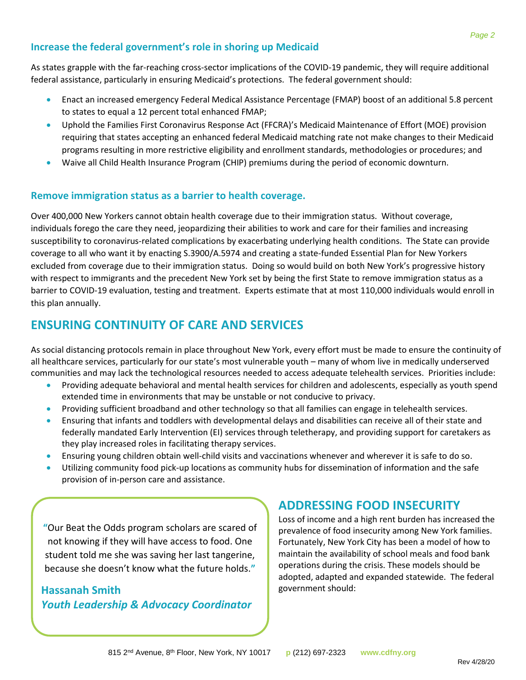#### **Increase the federal government's role in shoring up Medicaid**

As states grapple with the far-reaching cross-sector implications of the COVID-19 pandemic, they will require additional federal assistance, particularly in ensuring Medicaid's protections. The federal government should:

- Enact an increased emergency Federal Medical Assistance Percentage (FMAP) boost of an additional 5.8 percent to states to equal a 12 percent total enhanced FMAP;
- Uphold the Families First Coronavirus Response Act (FFCRA)'s Medicaid Maintenance of Effort (MOE) provision requiring that states accepting an enhanced federal Medicaid matching rate not make changes to their Medicaid programs resulting in more restrictive eligibility and enrollment standards, methodologies or procedures; and
- Waive all Child Health Insurance Program (CHIP) premiums during the period of economic downturn.

#### **Remove immigration status as a barrier to health coverage.**

Over 400,000 New Yorkers cannot obtain health coverage due to their immigration status. Without coverage, individuals forego the care they need, jeopardizing their abilities to work and care for their families and increasing susceptibility to coronavirus-related complications by exacerbating underlying health conditions. The State can provide coverage to all who want it by enacting S.3900/A.5974 and creating a state-funded Essential Plan for New Yorkers excluded from coverage due to their immigration status. Doing so would build on both New York's progressive history with respect to immigrants and the precedent New York set by being the first State to remove immigration status as a barrier to COVID-19 evaluation, testing and treatment. Experts estimate that at most 110,000 individuals would enroll in this plan annually.

## **ENSURING CONTINUITY OF CARE AND SERVICES**

As social distancing protocols remain in place throughout New York, every effort must be made to ensure the continuity of all healthcare services, particularly for our state's most vulnerable youth – many of whom live in medically underserved communities and may lack the technological resources needed to access adequate telehealth services. Priorities include:

- **•** Providing adequate behavioral and mental health services for children and adolescents, especially as youth spend extended time in environments that may be unstable or not conducive to privacy.
- Providing sufficient broadband and other technology so that all families can engage in telehealth services.
- Ensuring that infants and toddlers with developmental delays and disabilities can receive all of their state and federally mandated Early Intervention (EI) services through teletherapy, and providing support for caretakers as they play increased roles in facilitating therapy services.
- Ensuring young children obtain well-child visits and vaccinations whenever and wherever it is safe to do so.
- Utilizing community food pick-up locations as community hubs for dissemination of information and the safe provision of in-person care and assistance.

**"**Our Beat the Odds program scholars are scared of not knowing if they will have access to food. One student told me she was saving her last tangerine, because she doesn't know what the future holds.**"**

### **Hassanah Smith** *Youth Leadership & Advocacy Coordinator*

# **ADDRESSING FOOD INSECURITY**

Loss of income and a high rent burden has increased the prevalence of food insecurity among New York families. Fortunately, New York City has been a model of how to maintain the availability of school meals and food bank operations during the crisis. These models should be adopted, adapted and expanded statewide. The federal government should: